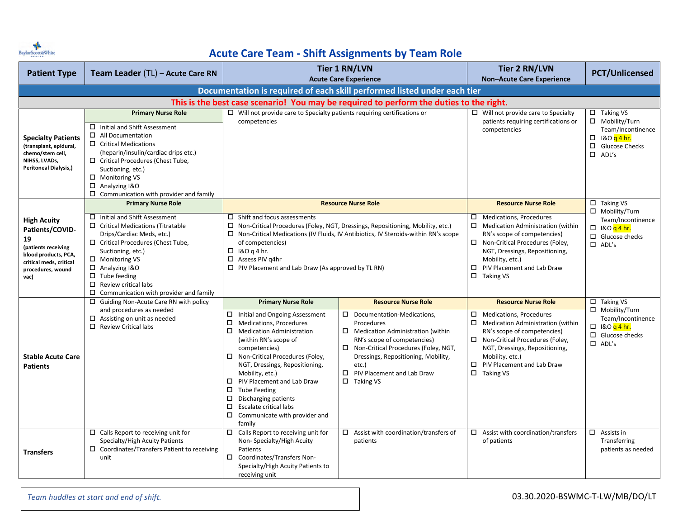

## BaylorScotteRVhite **Acute Care Team - Shift Assignments by Team Role**

| <b>Patient Type</b>                                                                                                                                | Team Leader (TL) - Acute Care RN                                                                                                                                                                                                                                                                                                                           |                                                                                                                                                                                                                                                                                                                                                                                                                                                                                         | <b>Tier 1 RN/LVN</b><br><b>Acute Care Experience</b>                                                                                                                                                                                                                                                        | <b>Tier 2 RN/LVN</b><br><b>Non-Acute Care Experience</b>                                                                                                                                                                                                                                           | <b>PCT/Unlicensed</b>                                                                                                           |
|----------------------------------------------------------------------------------------------------------------------------------------------------|------------------------------------------------------------------------------------------------------------------------------------------------------------------------------------------------------------------------------------------------------------------------------------------------------------------------------------------------------------|-----------------------------------------------------------------------------------------------------------------------------------------------------------------------------------------------------------------------------------------------------------------------------------------------------------------------------------------------------------------------------------------------------------------------------------------------------------------------------------------|-------------------------------------------------------------------------------------------------------------------------------------------------------------------------------------------------------------------------------------------------------------------------------------------------------------|----------------------------------------------------------------------------------------------------------------------------------------------------------------------------------------------------------------------------------------------------------------------------------------------------|---------------------------------------------------------------------------------------------------------------------------------|
| Documentation is required of each skill performed listed under each tier                                                                           |                                                                                                                                                                                                                                                                                                                                                            |                                                                                                                                                                                                                                                                                                                                                                                                                                                                                         |                                                                                                                                                                                                                                                                                                             |                                                                                                                                                                                                                                                                                                    |                                                                                                                                 |
| This is the best case scenario! You may be required to perform the duties to the right.                                                            |                                                                                                                                                                                                                                                                                                                                                            |                                                                                                                                                                                                                                                                                                                                                                                                                                                                                         |                                                                                                                                                                                                                                                                                                             |                                                                                                                                                                                                                                                                                                    |                                                                                                                                 |
| <b>Specialty Patients</b><br>(transplant, epidural,<br>chemo/stem cell,<br>NIHSS, LVADs,<br><b>Peritoneal Dialysis,)</b>                           | <b>Primary Nurse Role</b><br>$\Box$ Initial and Shift Assessment<br>$\Box$ All Documentation<br>$\Box$ Critical Medications<br>(heparin/insulin/cardiac drips etc.)<br>$\Box$ Critical Procedures (Chest Tube,<br>Suctioning, etc.)<br>$\Box$ Monitoring VS<br>$\Box$ Analyzing I&O<br>$\Box$ Communication with provider and family                       | $\Box$ Will not provide care to Specialty patients requiring certifications or<br>competencies                                                                                                                                                                                                                                                                                                                                                                                          |                                                                                                                                                                                                                                                                                                             | $\Box$ Will not provide care to Specialty<br>patients requiring certifications or<br>competencies                                                                                                                                                                                                  | $\Box$ Taking VS<br>□ Mobility/Turn<br>Team/Incontinence<br>$\Box$ 1&0 $q$ 4 hr.<br>□ Glucose Checks<br>$\Box$ ADL's            |
| <b>High Acuity</b><br>Patients/COVID-<br>19<br>(patients receiving<br>blood products, PCA,<br>critical meds, critical<br>procedures, wound<br>vac) | <b>Primary Nurse Role</b><br>$\Box$ Initial and Shift Assessment<br>$\Box$ Critical Medications (Titratable<br>Drips/Cardiac Meds, etc.)<br>□ Critical Procedures (Chest Tube,<br>Suctioning, etc.)<br>$\Box$ Monitoring VS<br>$\Box$ Analyzing I&O<br>$\Box$ Tube feeding<br>$\Box$ Review critical labs<br>$\Box$ Communication with provider and family | <b>Resource Nurse Role</b><br>$\Box$ Shift and focus assessments<br>$\Box$ Non-Critical Procedures (Foley, NGT, Dressings, Repositioning, Mobility, etc.)<br>$\Box$ Non-Critical Medications (IV Fluids, IV Antibiotics, IV Steroids-within RN's scope<br>of competencies)<br>$\Box$ 1&O q 4 hr.<br>$\Box$ Assess PIV g4hr<br>$\Box$ PIV Placement and Lab Draw (As approved by TL RN)                                                                                                  |                                                                                                                                                                                                                                                                                                             | <b>Resource Nurse Role</b><br>$\Box$ Medications, Procedures<br>$\Box$ Medication Administration (within<br>RN's scope of competencies)<br>$\Box$ Non-Critical Procedures (Foley,<br>NGT, Dressings, Repositioning,<br>Mobility, etc.)<br>$\Box$ PIV Placement and Lab Draw<br>$\square$ Taking VS | $\Box$ Taking VS<br>□ Mobility/Turn<br>Team/Incontinence<br>□ 1&0 <mark>q 4 hr.</mark><br>$\Box$ Glucose checks<br>$\Box$ ADL's |
| <b>Stable Acute Care</b><br><b>Patients</b>                                                                                                        | $\Box$ Guiding Non-Acute Care RN with policy<br>and procedures as needed<br>$\Box$ Assisting on unit as needed<br>$\Box$ Review Critical labs                                                                                                                                                                                                              | <b>Primary Nurse Role</b><br>$\Box$ Initial and Ongoing Assessment<br>$\Box$<br><b>Medications, Procedures</b><br>$\Box$ Medication Administration<br>(within RN's scope of<br>competencies)<br>Non-Critical Procedures (Foley,<br>$\Box$<br>NGT, Dressings, Repositioning,<br>Mobility, etc.)<br>$\Box$ PIV Placement and Lab Draw<br>$\Box$<br><b>Tube Feeding</b><br>$\Box$<br>Discharging patients<br>□<br>Escalate critical labs<br>$\Box$ Communicate with provider and<br>family | <b>Resource Nurse Role</b><br>$\Box$ Documentation-Medications,<br>Procedures<br>$\Box$ Medication Administration (within<br>RN's scope of competencies)<br>□ Non-Critical Procedures (Foley, NGT,<br>Dressings, Repositioning, Mobility,<br>etc.)<br>$\Box$ PIV Placement and Lab Draw<br>$\Box$ Taking VS | <b>Resource Nurse Role</b><br>$\Box$ Medications, Procedures<br>$\Box$ Medication Administration (within<br>RN's scope of competencies)<br>□ Non-Critical Procedures (Foley,<br>NGT, Dressings, Repositioning,<br>Mobility, etc.)<br>$\Box$ PIV Placement and Lab Draw<br>$\square$ Taking VS      | $\Box$ Taking VS<br>□ Mobility/Turn<br>Team/Incontinence<br>$\Box$ 1&0 $\alpha$ 4 hr.<br>$\Box$ Glucose checks<br>$\Box$ ADL's  |
| <b>Transfers</b>                                                                                                                                   | $\Box$ Calls Report to receiving unit for<br>Specialty/High Acuity Patients<br>$\square$ Coordinates/Transfers Patient to receiving<br>unit                                                                                                                                                                                                                | Calls Report to receiving unit for<br>$\Box$<br>Non-Specialty/High Acuity<br>Patients<br>Coordinates/Transfers Non-<br>Ω.<br>Specialty/High Acuity Patients to<br>receiving unit                                                                                                                                                                                                                                                                                                        | $\Box$ Assist with coordination/transfers of<br>patients                                                                                                                                                                                                                                                    | $\Box$ Assist with coordination/transfers<br>of patients                                                                                                                                                                                                                                           | $\Box$ Assists in<br>Transferring<br>patients as needed                                                                         |